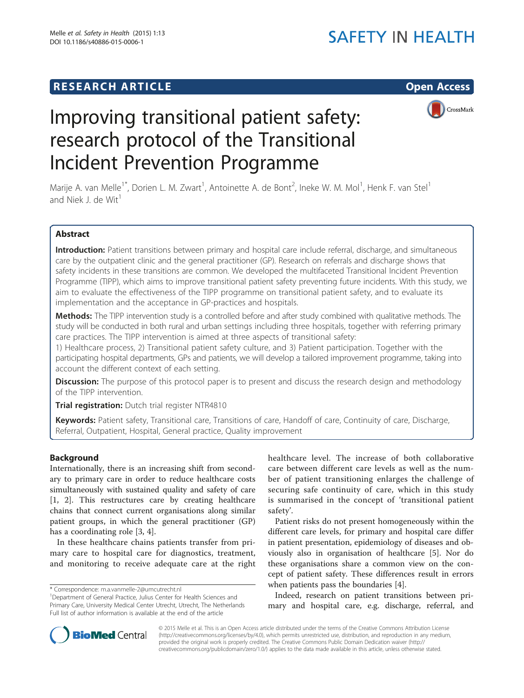# **RESEARCH ARTICLE Example 2014 12:30 The SEAR CHA RESEARCH ARTICLE**



# Improving transitional patient safety: research protocol of the Transitional Incident Prevention Programme

Marije A. van Melle<sup>1\*</sup>, Dorien L. M. Zwart<sup>1</sup>, Antoinette A. de Bont<sup>2</sup>, Ineke W. M. Mol<sup>1</sup>, Henk F. van Stel<sup>1</sup> and Niek J. de Wit<sup>1</sup>

# Abstract

Introduction: Patient transitions between primary and hospital care include referral, discharge, and simultaneous care by the outpatient clinic and the general practitioner (GP). Research on referrals and discharge shows that safety incidents in these transitions are common. We developed the multifaceted Transitional Incident Prevention Programme (TIPP), which aims to improve transitional patient safety preventing future incidents. With this study, we aim to evaluate the effectiveness of the TIPP programme on transitional patient safety, and to evaluate its implementation and the acceptance in GP-practices and hospitals.

Methods: The TIPP intervention study is a controlled before and after study combined with qualitative methods. The study will be conducted in both rural and urban settings including three hospitals, together with referring primary care practices. The TIPP intervention is aimed at three aspects of transitional safety:

1) Healthcare process, 2) Transitional patient safety culture, and 3) Patient participation. Together with the participating hospital departments, GPs and patients, we will develop a tailored improvement programme, taking into account the different context of each setting.

**Discussion:** The purpose of this protocol paper is to present and discuss the research design and methodology of the TIPP intervention.

Trial registration: Dutch trial register [NTR4810](http://www.trialregister.nl/trialreg/admin/rctview.asp?TC=4810)

Keywords: Patient safety, Transitional care, Transitions of care, Handoff of care, Continuity of care, Discharge, Referral, Outpatient, Hospital, General practice, Quality improvement

# Background

Internationally, there is an increasing shift from secondary to primary care in order to reduce healthcare costs simultaneously with sustained quality and safety of care [[1, 2](#page-8-0)]. This restructures care by creating healthcare chains that connect current organisations along similar patient groups, in which the general practitioner (GP) has a coordinating role [\[3, 4](#page-8-0)].

In these healthcare chains patients transfer from primary care to hospital care for diagnostics, treatment, and monitoring to receive adequate care at the right healthcare level. The increase of both collaborative care between different care levels as well as the number of patient transitioning enlarges the challenge of securing safe continuity of care, which in this study is summarised in the concept of 'transitional patient safety'.

Patient risks do not present homogeneously within the different care levels, for primary and hospital care differ in patient presentation, epidemiology of diseases and obviously also in organisation of healthcare [\[5](#page-8-0)]. Nor do these organisations share a common view on the concept of patient safety. These differences result in errors when patients pass the boundaries [[4\]](#page-8-0).

Indeed, research on patient transitions between primary and hospital care, e.g. discharge, referral, and



© 2015 Melle et al. This is an Open Access article distributed under the terms of the Creative Commons Attribution License [\(http://creativecommons.org/licenses/by/4.0\)](http://creativecommons.org/licenses/by/4.0), which permits unrestricted use, distribution, and reproduction in any medium, provided the original work is properly credited. The Creative Commons Public Domain Dedication waiver [\(http://](http://creativecommons.org/publicdomain/zero/1.0/) [creativecommons.org/publicdomain/zero/1.0/\)](http://creativecommons.org/publicdomain/zero/1.0/) applies to the data made available in this article, unless otherwise stated.

<sup>\*</sup> Correspondence: [m.a.vanmelle-2@umcutrecht.nl](mailto:m.a.vanmelle-2@umcutrecht.nl) <sup>1</sup>

<sup>&</sup>lt;sup>1</sup>Department of General Practice, Julius Center for Health Sciences and Primary Care, University Medical Center Utrecht, Utrecht, The Netherlands Full list of author information is available at the end of the article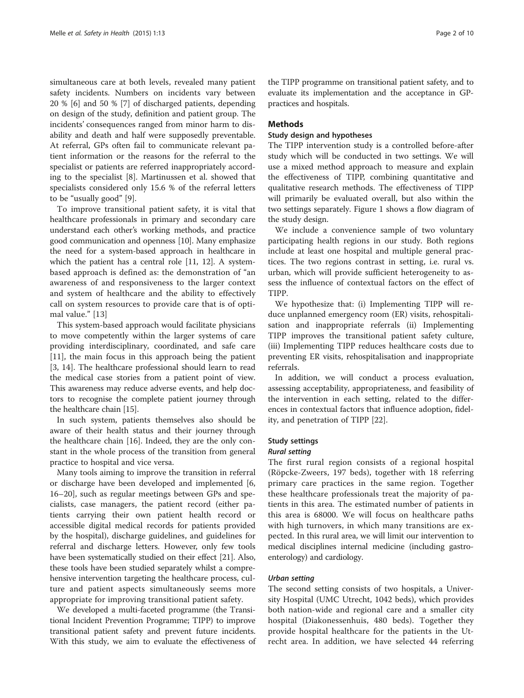simultaneous care at both levels, revealed many patient safety incidents. Numbers on incidents vary between 20 % [\[6](#page-8-0)] and 50 % [\[7\]](#page-8-0) of discharged patients, depending on design of the study, definition and patient group. The incidents' consequences ranged from minor harm to disability and death and half were supposedly preventable. At referral, GPs often fail to communicate relevant patient information or the reasons for the referral to the specialist or patients are referred inappropriately according to the specialist [\[8](#page-8-0)]. Martinussen et al. showed that specialists considered only 15.6 % of the referral letters to be "usually good" [\[9\]](#page-8-0).

To improve transitional patient safety, it is vital that healthcare professionals in primary and secondary care understand each other's working methods, and practice good communication and openness [\[10\]](#page-8-0). Many emphasize the need for a system-based approach in healthcare in which the patient has a central role [[11](#page-8-0), [12](#page-8-0)]. A systembased approach is defined as: the demonstration of "an awareness of and responsiveness to the larger context and system of healthcare and the ability to effectively call on system resources to provide care that is of optimal value." [[13\]](#page-8-0)

This system-based approach would facilitate physicians to move competently within the larger systems of care providing interdisciplinary, coordinated, and safe care [[11\]](#page-8-0), the main focus in this approach being the patient [[3,](#page-8-0) [14](#page-9-0)]. The healthcare professional should learn to read the medical case stories from a patient point of view. This awareness may reduce adverse events, and help doctors to recognise the complete patient journey through the healthcare chain [\[15\]](#page-9-0).

In such system, patients themselves also should be aware of their health status and their journey through the healthcare chain [[16\]](#page-9-0). Indeed, they are the only constant in the whole process of the transition from general practice to hospital and vice versa.

Many tools aiming to improve the transition in referral or discharge have been developed and implemented [\[6](#page-8-0), [16](#page-9-0)–[20](#page-9-0)], such as regular meetings between GPs and specialists, case managers, the patient record (either patients carrying their own patient health record or accessible digital medical records for patients provided by the hospital), discharge guidelines, and guidelines for referral and discharge letters. However, only few tools have been systematically studied on their effect [[21](#page-9-0)]. Also, these tools have been studied separately whilst a comprehensive intervention targeting the healthcare process, culture and patient aspects simultaneously seems more appropriate for improving transitional patient safety.

We developed a multi-faceted programme (the Transitional Incident Prevention Programme; TIPP) to improve transitional patient safety and prevent future incidents. With this study, we aim to evaluate the effectiveness of the TIPP programme on transitional patient safety, and to evaluate its implementation and the acceptance in GPpractices and hospitals.

# Methods

# Study design and hypotheses

The TIPP intervention study is a controlled before-after study which will be conducted in two settings. We will use a mixed method approach to measure and explain the effectiveness of TIPP, combining quantitative and qualitative research methods. The effectiveness of TIPP will primarily be evaluated overall, but also within the two settings separately. Figure [1](#page-2-0) shows a flow diagram of the study design.

We include a convenience sample of two voluntary participating health regions in our study. Both regions include at least one hospital and multiple general practices. The two regions contrast in setting, i.e. rural vs. urban, which will provide sufficient heterogeneity to assess the influence of contextual factors on the effect of TIPP.

We hypothesize that: (i) Implementing TIPP will reduce unplanned emergency room (ER) visits, rehospitalisation and inappropriate referrals (ii) Implementing TIPP improves the transitional patient safety culture, (iii) Implementing TIPP reduces healthcare costs due to preventing ER visits, rehospitalisation and inappropriate referrals.

In addition, we will conduct a process evaluation, assessing acceptability, appropriateness, and feasibility of the intervention in each setting, related to the differences in contextual factors that influence adoption, fidelity, and penetration of TIPP [[22\]](#page-9-0).

# Study settings

### Rural setting

The first rural region consists of a regional hospital (Röpcke-Zweers, 197 beds), together with 18 referring primary care practices in the same region. Together these healthcare professionals treat the majority of patients in this area. The estimated number of patients in this area is 68000. We will focus on healthcare paths with high turnovers, in which many transitions are expected. In this rural area, we will limit our intervention to medical disciplines internal medicine (including gastroenterology) and cardiology.

# Urban setting

The second setting consists of two hospitals, a University Hospital (UMC Utrecht, 1042 beds), which provides both nation-wide and regional care and a smaller city hospital (Diakonessenhuis, 480 beds). Together they provide hospital healthcare for the patients in the Utrecht area. In addition, we have selected 44 referring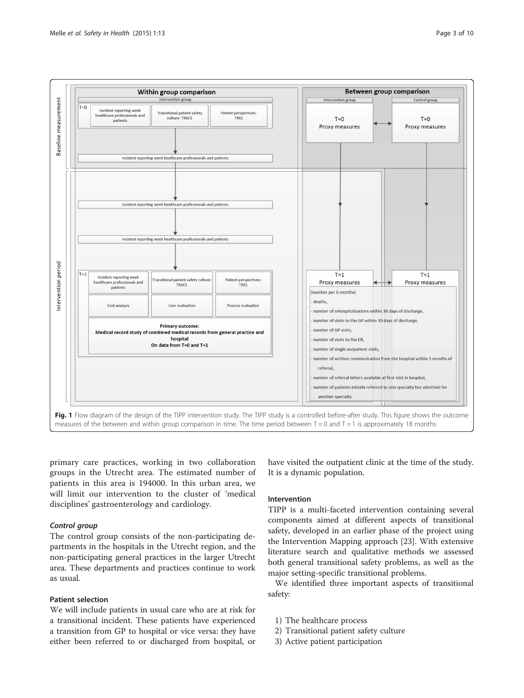<span id="page-2-0"></span>

primary care practices, working in two collaboration groups in the Utrecht area. The estimated number of patients in this area is 194000. In this urban area, we will limit our intervention to the cluster of 'medical disciplines' gastroenterology and cardiology.

# Control group

The control group consists of the non-participating departments in the hospitals in the Utrecht region, and the non-participating general practices in the larger Utrecht area. These departments and practices continue to work as usual.

# Patient selection

We will include patients in usual care who are at risk for a transitional incident. These patients have experienced a transition from GP to hospital or vice versa: they have either been referred to or discharged from hospital, or

have visited the outpatient clinic at the time of the study. It is a dynamic population.

# Intervention

TIPP is a multi-faceted intervention containing several components aimed at different aspects of transitional safety, developed in an earlier phase of the project using the Intervention Mapping approach [[23\]](#page-9-0). With extensive literature search and qualitative methods we assessed both general transitional safety problems, as well as the major setting-specific transitional problems.

We identified three important aspects of transitional safety:

- 1) The healthcare process
- 2) Transitional patient safety culture
- 3) Active patient participation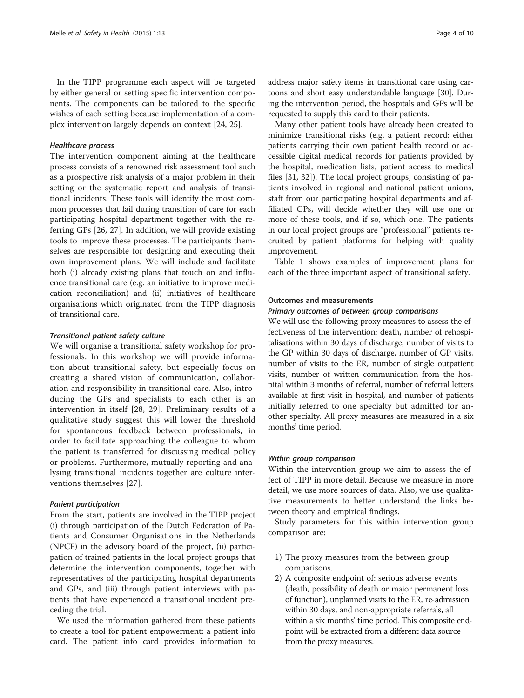In the TIPP programme each aspect will be targeted by either general or setting specific intervention components. The components can be tailored to the specific wishes of each setting because implementation of a complex intervention largely depends on context [[24, 25\]](#page-9-0).

# Healthcare process

The intervention component aiming at the healthcare process consists of a renowned risk assessment tool such as a prospective risk analysis of a major problem in their setting or the systematic report and analysis of transitional incidents. These tools will identify the most common processes that fail during transition of care for each participating hospital department together with the referring GPs [[26, 27\]](#page-9-0). In addition, we will provide existing tools to improve these processes. The participants themselves are responsible for designing and executing their own improvement plans. We will include and facilitate both (i) already existing plans that touch on and influence transitional care (e.g. an initiative to improve medication reconciliation) and (ii) initiatives of healthcare organisations which originated from the TIPP diagnosis of transitional care.

# Transitional patient safety culture

We will organise a transitional safety workshop for professionals. In this workshop we will provide information about transitional safety, but especially focus on creating a shared vision of communication, collaboration and responsibility in transitional care. Also, introducing the GPs and specialists to each other is an intervention in itself [[28, 29](#page-9-0)]. Preliminary results of a qualitative study suggest this will lower the threshold for spontaneous feedback between professionals, in order to facilitate approaching the colleague to whom the patient is transferred for discussing medical policy or problems. Furthermore, mutually reporting and analysing transitional incidents together are culture interventions themselves [\[27\]](#page-9-0).

# Patient participation

From the start, patients are involved in the TIPP project (i) through participation of the Dutch Federation of Patients and Consumer Organisations in the Netherlands (NPCF) in the advisory board of the project, (ii) participation of trained patients in the local project groups that determine the intervention components, together with representatives of the participating hospital departments and GPs, and (iii) through patient interviews with patients that have experienced a transitional incident preceding the trial.

We used the information gathered from these patients to create a tool for patient empowerment: a patient info card. The patient info card provides information to address major safety items in transitional care using cartoons and short easy understandable language [[30](#page-9-0)]. During the intervention period, the hospitals and GPs will be requested to supply this card to their patients.

Many other patient tools have already been created to minimize transitional risks (e.g. a patient record: either patients carrying their own patient health record or accessible digital medical records for patients provided by the hospital, medication lists, patient access to medical files [\[31](#page-9-0), [32](#page-9-0)]). The local project groups, consisting of patients involved in regional and national patient unions, staff from our participating hospital departments and affiliated GPs, will decide whether they will use one or more of these tools, and if so, which one. The patients in our local project groups are "professional" patients recruited by patient platforms for helping with quality improvement.

Table [1](#page-4-0) shows examples of improvement plans for each of the three important aspect of transitional safety.

# Outcomes and measurements

### Primary outcomes of between group comparisons

We will use the following proxy measures to assess the effectiveness of the intervention: death, number of rehospitalisations within 30 days of discharge, number of visits to the GP within 30 days of discharge, number of GP visits, number of visits to the ER, number of single outpatient visits, number of written communication from the hospital within 3 months of referral, number of referral letters available at first visit in hospital, and number of patients initially referred to one specialty but admitted for another specialty. All proxy measures are measured in a six months' time period.

### Within group comparison

Within the intervention group we aim to assess the effect of TIPP in more detail. Because we measure in more detail, we use more sources of data. Also, we use qualitative measurements to better understand the links between theory and empirical findings.

Study parameters for this within intervention group comparison are:

- 1) The proxy measures from the between group comparisons.
- 2) A composite endpoint of: serious adverse events (death, possibility of death or major permanent loss of function), unplanned visits to the ER, re-admission within 30 days, and non-appropriate referrals, all within a six months' time period. This composite endpoint will be extracted from a different data source from the proxy measures.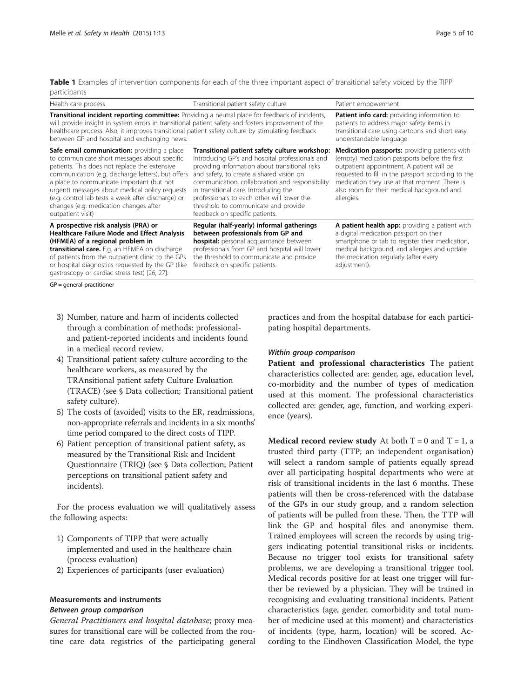<span id="page-4-0"></span>Table 1 Examples of intervention components for each of the three important aspect of transitional safety voiced by the TIPP participants

| Health care process                                                                                                                                                                                                                                                                                                                                                                                                    | Transitional patient safety culture                                                                                                                                                                                                                                                                                                                                                                                | Patient empowerment                                                                                                                                                                                                                                                                                                  |
|------------------------------------------------------------------------------------------------------------------------------------------------------------------------------------------------------------------------------------------------------------------------------------------------------------------------------------------------------------------------------------------------------------------------|--------------------------------------------------------------------------------------------------------------------------------------------------------------------------------------------------------------------------------------------------------------------------------------------------------------------------------------------------------------------------------------------------------------------|----------------------------------------------------------------------------------------------------------------------------------------------------------------------------------------------------------------------------------------------------------------------------------------------------------------------|
| Transitional incident reporting committee: Providing a neutral place for feedback of incidents,<br>will provide insight in system errors in transitional patient safety and fosters improvement of the<br>healthcare process. Also, it improves transitional patient safety culture by stimulating feedback<br>between GP and hospital and exchanging news.                                                            |                                                                                                                                                                                                                                                                                                                                                                                                                    | Patient info card: providing information to<br>patients to address major safety items in<br>transitional care using cartoons and short easy<br>understandable language                                                                                                                                               |
| Safe email communication: providing a place<br>to communicate short messages about specific<br>patients. This does not replace the extensive<br>communication (e.g. discharge letters), but offers<br>a place to communicate important (but not<br>urgent) messages about medical policy requests<br>(e.g. control lab tests a week after discharge) or<br>changes (e.g. medication changes after<br>outpatient visit) | Transitional patient safety culture workshop:<br>Introducing GP's and hospital professionals and<br>providing information about transitional risks<br>and safety, to create a shared vision on<br>communication, collaboration and responsibility<br>in transitional care. Introducing the<br>professionals to each other will lower the<br>threshold to communicate and provide<br>feedback on specific patients. | <b>Medication passports:</b> providing patients with<br>(empty) medication passports before the first<br>outpatient appointment. A patient will be<br>requested to fill in the passport according to the<br>medication they use at that moment. There is<br>also room for their medical background and<br>allergies. |
| A prospective risk analysis (PRA) or<br><b>Healthcare Failure Mode and Effect Analysis</b><br>(HFMEA) of a regional problem in<br>transitional care. E.g. an HFMEA on discharge<br>of patients from the outpatient clinic to the GPs<br>or hospital diagnostics requested by the GP (like<br>qastroscopy or cardiac stress test) [26, 27].                                                                             | Regular (half-yearly) informal gatherings<br>between professionals from GP and<br>hospital: personal acquaintance between<br>professionals from GP and hospital will lower<br>the threshold to communicate and provide<br>feedback on specific patients.                                                                                                                                                           | A patient health app: providing a patient with<br>a digital medication passport on their<br>smartphone or tab to register their medication,<br>medical background, and allergies and update<br>the medication regularly (after every<br>adjustment).                                                                 |

GP = general practitioner

- 3) Number, nature and harm of incidents collected through a combination of methods: professionaland patient-reported incidents and incidents found in a medical record review.
- 4) Transitional patient safety culture according to the healthcare workers, as measured by the TRAnsitional patient safety Culture Evaluation (TRACE) (see § Data collection; Transitional patient safety culture).
- 5) The costs of (avoided) visits to the ER, readmissions, non-appropriate referrals and incidents in a six months' time period compared to the direct costs of TIPP.
- 6) Patient perception of transitional patient safety, as measured by the Transitional Risk and Incident Questionnaire (TRIQ) (see § Data collection; Patient perceptions on transitional patient safety and incidents).

For the process evaluation we will qualitatively assess the following aspects:

- 1) Components of TIPP that were actually implemented and used in the healthcare chain (process evaluation)
- 2) Experiences of participants (user evaluation)

# Measurements and instruments Between group comparison

General Practitioners and hospital database; proxy measures for transitional care will be collected from the routine care data registries of the participating general practices and from the hospital database for each participating hospital departments.

### Within group comparison

Patient and professional characteristics The patient characteristics collected are: gender, age, education level, co-morbidity and the number of types of medication used at this moment. The professional characteristics collected are: gender, age, function, and working experience (years).

**Medical record review study** At both  $T = 0$  and  $T = 1$ , a trusted third party (TTP; an independent organisation) will select a random sample of patients equally spread over all participating hospital departments who were at risk of transitional incidents in the last 6 months. These patients will then be cross-referenced with the database of the GPs in our study group, and a random selection of patients will be pulled from these. Then, the TTP will link the GP and hospital files and anonymise them. Trained employees will screen the records by using triggers indicating potential transitional risks or incidents. Because no trigger tool exists for transitional safety problems, we are developing a transitional trigger tool. Medical records positive for at least one trigger will further be reviewed by a physician. They will be trained in recognising and evaluating transitional incidents. Patient characteristics (age, gender, comorbidity and total number of medicine used at this moment) and characteristics of incidents (type, harm, location) will be scored. According to the Eindhoven Classification Model, the type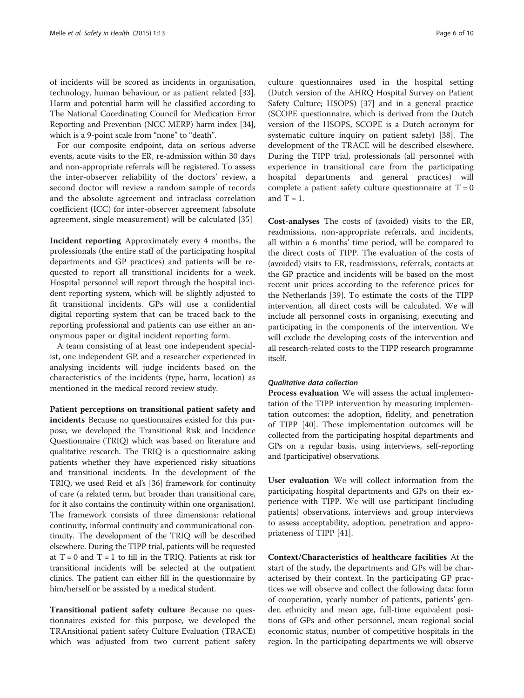of incidents will be scored as incidents in organisation, technology, human behaviour, or as patient related [\[33](#page-9-0)]. Harm and potential harm will be classified according to The National Coordinating Council for Medication Error Reporting and Prevention (NCC MERP) harm index [[34](#page-9-0)], which is a 9-point scale from "none" to "death".

For our composite endpoint, data on serious adverse events, acute visits to the ER, re-admission within 30 days and non-appropriate referrals will be registered. To assess the inter-observer reliability of the doctors' review, a second doctor will review a random sample of records and the absolute agreement and intraclass correlation coefficient (ICC) for inter-observer agreement (absolute agreement, single measurement) will be calculated [[35\]](#page-9-0)

Incident reporting Approximately every 4 months, the professionals (the entire staff of the participating hospital departments and GP practices) and patients will be requested to report all transitional incidents for a week. Hospital personnel will report through the hospital incident reporting system, which will be slightly adjusted to fit transitional incidents. GPs will use a confidential digital reporting system that can be traced back to the reporting professional and patients can use either an anonymous paper or digital incident reporting form.

A team consisting of at least one independent specialist, one independent GP, and a researcher experienced in analysing incidents will judge incidents based on the characteristics of the incidents (type, harm, location) as mentioned in the medical record review study.

Patient perceptions on transitional patient safety and incidents Because no questionnaires existed for this purpose, we developed the Transitional Risk and Incidence Questionnaire (TRIQ) which was based on literature and qualitative research. The TRIQ is a questionnaire asking patients whether they have experienced risky situations and transitional incidents. In the development of the TRIQ, we used Reid et al's [\[36\]](#page-9-0) framework for continuity of care (a related term, but broader than transitional care, for it also contains the continuity within one organisation). The framework consists of three dimensions: relational continuity, informal continuity and communicational continuity. The development of the TRIQ will be described elsewhere. During the TIPP trial, patients will be requested at  $T = 0$  and  $T = 1$  to fill in the TRIQ. Patients at risk for transitional incidents will be selected at the outpatient clinics. The patient can either fill in the questionnaire by him/herself or be assisted by a medical student.

Transitional patient safety culture Because no questionnaires existed for this purpose, we developed the TRAnsitional patient safety Culture Evaluation (TRACE) which was adjusted from two current patient safety

culture questionnaires used in the hospital setting (Dutch version of the AHRQ Hospital Survey on Patient Safety Culture; HSOPS) [\[37](#page-9-0)] and in a general practice (SCOPE questionnaire, which is derived from the Dutch version of the HSOPS, SCOPE is a Dutch acronym for systematic culture inquiry on patient safety) [\[38](#page-9-0)]. The development of the TRACE will be described elsewhere. During the TIPP trial, professionals (all personnel with experience in transitional care from the participating hospital departments and general practices) will complete a patient safety culture questionnaire at  $T = 0$ and  $T = 1$ .

Cost-analyses The costs of (avoided) visits to the ER, readmissions, non-appropriate referrals, and incidents, all within a 6 months' time period, will be compared to the direct costs of TIPP. The evaluation of the costs of (avoided) visits to ER, readmissions, referrals, contacts at the GP practice and incidents will be based on the most recent unit prices according to the reference prices for the Netherlands [[39\]](#page-9-0). To estimate the costs of the TIPP intervention, all direct costs will be calculated. We will include all personnel costs in organising, executing and participating in the components of the intervention. We will exclude the developing costs of the intervention and all research-related costs to the TIPP research programme itself.

# Qualitative data collection

Process evaluation We will assess the actual implementation of the TIPP intervention by measuring implementation outcomes: the adoption, fidelity, and penetration of TIPP [[40](#page-9-0)]. These implementation outcomes will be collected from the participating hospital departments and GPs on a regular basis, using interviews, self-reporting and (participative) observations.

User evaluation We will collect information from the participating hospital departments and GPs on their experience with TIPP. We will use participant (including patients) observations, interviews and group interviews to assess acceptability, adoption, penetration and appropriateness of TIPP [\[41](#page-9-0)].

Context/Characteristics of healthcare facilities At the start of the study, the departments and GPs will be characterised by their context. In the participating GP practices we will observe and collect the following data: form of cooperation, yearly number of patients, patients' gender, ethnicity and mean age, full-time equivalent positions of GPs and other personnel, mean regional social economic status, number of competitive hospitals in the region. In the participating departments we will observe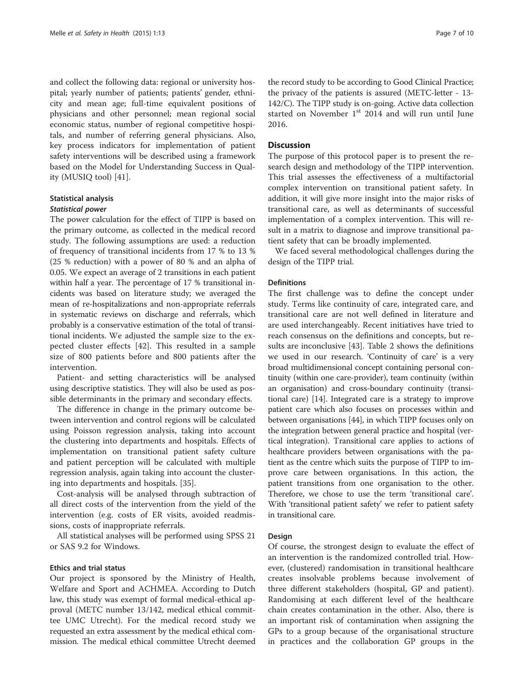and collect the following data: regional or university hospital; yearly number of patients; patients' gender, ethnicity and mean age; full-time equivalent positions of physicians and other personnel; mean regional social economic status, number of regional competitive hospitals, and number of referring general physicians. Also, key process indicators for implementation of patient safety interventions will be described using a framework based on the Model for Understanding Success in Quality (MUSIQ tool) [\[41](#page-9-0)].

# Statistical analysis

# Statistical power

The power calculation for the effect of TIPP is based on the primary outcome, as collected in the medical record study. The following assumptions are used: a reduction of frequency of transitional incidents from 17 % to 13 % (25 % reduction) with a power of 80 % and an alpha of 0.05. We expect an average of 2 transitions in each patient within half a year. The percentage of 17 % transitional incidents was based on literature study; we averaged the mean of re-hospitalizations and non-appropriate referrals in systematic reviews on discharge and referrals, which probably is a conservative estimation of the total of transitional incidents. We adjusted the sample size to the expected cluster effects [[42\]](#page-9-0). This resulted in a sample size of 800 patients before and 800 patients after the intervention.

Patient- and setting characteristics will be analysed using descriptive statistics. They will also be used as possible determinants in the primary and secondary effects.

The difference in change in the primary outcome between intervention and control regions will be calculated using Poisson regression analysis, taking into account the clustering into departments and hospitals. Effects of implementation on transitional patient safety culture and patient perception will be calculated with multiple regression analysis, again taking into account the clustering into departments and hospitals. [[35\]](#page-9-0).

Cost-analysis will be analysed through subtraction of all direct costs of the intervention from the yield of the intervention (e.g. costs of ER visits, avoided readmissions, costs of inappropriate referrals.

All statistical analyses will be performed using SPSS 21 or SAS 9.2 for Windows.

# Ethics and trial status

Our project is sponsored by the Ministry of Health, Welfare and Sport and ACHMEA. According to Dutch law, this study was exempt of formal medical-ethical approval (METC number 13/142, medical ethical committee UMC Utrecht). For the medical record study we requested an extra assessment by the medical ethical commission. The medical ethical committee Utrecht deemed

the record study to be according to Good Clinical Practice; the privacy of the patients is assured (METC-letter - 13- 142/C). The TIPP study is on-going. Active data collection started on November  $1<sup>st</sup>$  2014 and will run until June 2016.

# **Discussion**

The purpose of this protocol paper is to present the research design and methodology of the TIPP intervention. This trial assesses the effectiveness of a multifactorial complex intervention on transitional patient safety. In addition, it will give more insight into the major risks of transitional care, as well as determinants of successful implementation of a complex intervention. This will result in a matrix to diagnose and improve transitional patient safety that can be broadly implemented.

We faced several methodological challenges during the design of the TIPP trial.

### **Definitions**

The first challenge was to define the concept under study. Terms like continuity of care, integrated care, and transitional care are not well defined in literature and are used interchangeably. Recent initiatives have tried to reach consensus on the definitions and concepts, but results are inconclusive [\[43](#page-9-0)]. Table [2](#page-7-0) shows the definitions we used in our research. 'Continuity of care' is a very broad multidimensional concept containing personal continuity (within one care-provider), team continuity (within an organisation) and cross-boundary continuity (transitional care) [[14](#page-9-0)]. Integrated care is a strategy to improve patient care which also focuses on processes within and between organisations [\[44\]](#page-9-0), in which TIPP focuses only on the integration between general practice and hospital (vertical integration). Transitional care applies to actions of healthcare providers between organisations with the patient as the centre which suits the purpose of TIPP to improve care between organisations. In this action, the patient transitions from one organisation to the other. Therefore, we chose to use the term 'transitional care'. With 'transitional patient safety' we refer to patient safety in transitional care.

### Design

Of course, the strongest design to evaluate the effect of an intervention is the randomized controlled trial. However, (clustered) randomisation in transitional healthcare creates insolvable problems because involvement of three different stakeholders (hospital, GP and patient). Randomising at each different level of the healthcare chain creates contamination in the other. Also, there is an important risk of contamination when assigning the GPs to a group because of the organisational structure in practices and the collaboration GP groups in the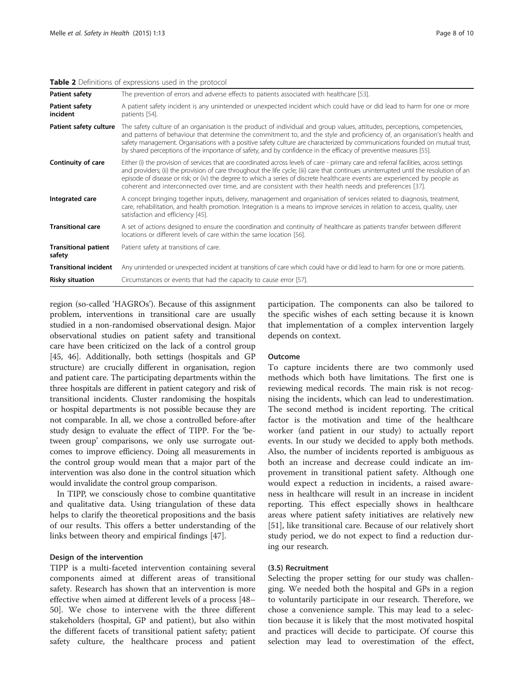### <span id="page-7-0"></span>Table 2 Definitions of expressions used in the protocol

| <b>Patient safety</b>                 | The prevention of errors and adverse effects to patients associated with healthcare [53].                                                                                                                                                                                                                                                                                                                                                                                                                                    |  |
|---------------------------------------|------------------------------------------------------------------------------------------------------------------------------------------------------------------------------------------------------------------------------------------------------------------------------------------------------------------------------------------------------------------------------------------------------------------------------------------------------------------------------------------------------------------------------|--|
| <b>Patient safety</b><br>incident     | A patient safety incident is any unintended or unexpected incident which could have or did lead to harm for one or more<br>patients [54].                                                                                                                                                                                                                                                                                                                                                                                    |  |
| Patient safety culture                | The safety culture of an organisation is the product of individual and group values, attitudes, perceptions, competencies,<br>and patterns of behaviour that determine the commitment to, and the style and proficiency of, an organisation's health and<br>safety management. Organisations with a positive safety culture are characterized by communications founded on mutual trust,<br>by shared perceptions of the importance of safety, and by confidence in the efficacy of preventive measures [55].                |  |
| Continuity of care                    | Either (i) the provision of services that are coordinated across levels of care - primary care and referral facilities, across settings<br>and providers; (ii) the provision of care throughout the life cycle; (iii) care that continues uninterrupted until the resolution of an<br>episode of disease or risk; or (iv) the degree to which a series of discrete healthcare events are experienced by people as<br>coherent and interconnected over time, and are consistent with their health needs and preferences [37]. |  |
| Integrated care                       | A concept bringing together inputs, delivery, management and organisation of services related to diagnosis, treatment,<br>care, rehabilitation, and health promotion. Integration is a means to improve services in relation to access, quality, user<br>satisfaction and efficiency [45].                                                                                                                                                                                                                                   |  |
| <b>Transitional care</b>              | A set of actions designed to ensure the coordination and continuity of healthcare as patients transfer between different<br>locations or different levels of care within the same location [56].                                                                                                                                                                                                                                                                                                                             |  |
| <b>Transitional patient</b><br>safety | Patient safety at transitions of care.                                                                                                                                                                                                                                                                                                                                                                                                                                                                                       |  |
| <b>Transitional incident</b>          | Any unintended or unexpected incident at transitions of care which could have or did lead to harm for one or more patients.                                                                                                                                                                                                                                                                                                                                                                                                  |  |
| <b>Risky situation</b>                | Circumstances or events that had the capacity to cause error [57].                                                                                                                                                                                                                                                                                                                                                                                                                                                           |  |

region (so-called 'HAGROs'). Because of this assignment problem, interventions in transitional care are usually studied in a non-randomised observational design. Major observational studies on patient safety and transitional care have been criticized on the lack of a control group [[45](#page-9-0), [46\]](#page-9-0). Additionally, both settings (hospitals and GP structure) are crucially different in organisation, region and patient care. The participating departments within the three hospitals are different in patient category and risk of transitional incidents. Cluster randomising the hospitals or hospital departments is not possible because they are not comparable. In all, we chose a controlled before-after study design to evaluate the effect of TIPP. For the 'between group' comparisons, we only use surrogate outcomes to improve efficiency. Doing all measurements in the control group would mean that a major part of the intervention was also done in the control situation which would invalidate the control group comparison.

In TIPP, we consciously chose to combine quantitative and qualitative data. Using triangulation of these data helps to clarify the theoretical propositions and the basis of our results. This offers a better understanding of the links between theory and empirical findings [\[47\]](#page-9-0).

# Design of the intervention

TIPP is a multi-faceted intervention containing several components aimed at different areas of transitional safety. Research has shown that an intervention is more effective when aimed at different levels of a process [[48](#page-9-0)– [50\]](#page-9-0). We chose to intervene with the three different stakeholders (hospital, GP and patient), but also within the different facets of transitional patient safety; patient safety culture, the healthcare process and patient

participation. The components can also be tailored to the specific wishes of each setting because it is known that implementation of a complex intervention largely depends on context.

# Outcome

To capture incidents there are two commonly used methods which both have limitations. The first one is reviewing medical records. The main risk is not recognising the incidents, which can lead to underestimation. The second method is incident reporting. The critical factor is the motivation and time of the healthcare worker (and patient in our study) to actually report events. In our study we decided to apply both methods. Also, the number of incidents reported is ambiguous as both an increase and decrease could indicate an improvement in transitional patient safety. Although one would expect a reduction in incidents, a raised awareness in healthcare will result in an increase in incident reporting. This effect especially shows in healthcare areas where patient safety initiatives are relatively new [[51\]](#page-9-0), like transitional care. Because of our relatively short study period, we do not expect to find a reduction during our research.

# (3.5) Recruitment

Selecting the proper setting for our study was challenging. We needed both the hospital and GPs in a region to voluntarily participate in our research. Therefore, we chose a convenience sample. This may lead to a selection because it is likely that the most motivated hospital and practices will decide to participate. Of course this selection may lead to overestimation of the effect,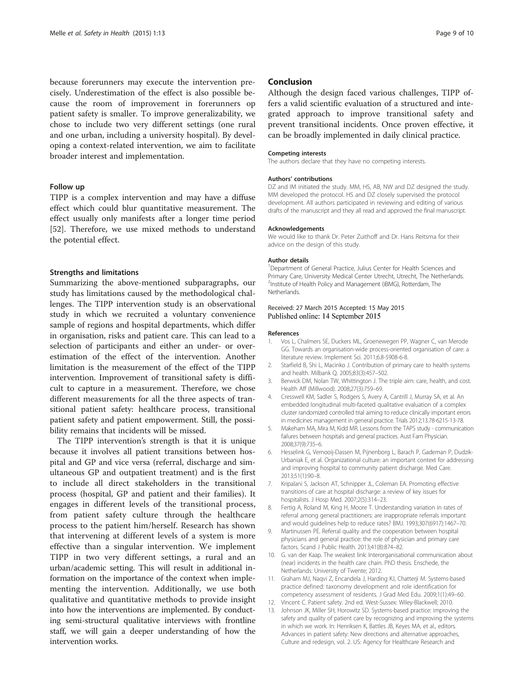<span id="page-8-0"></span>because forerunners may execute the intervention precisely. Underestimation of the effect is also possible because the room of improvement in forerunners op patient safety is smaller. To improve generalizability, we chose to include two very different settings (one rural and one urban, including a university hospital). By developing a context-related intervention, we aim to facilitate broader interest and implementation.

### Follow up

TIPP is a complex intervention and may have a diffuse effect which could blur quantitative measurement. The effect usually only manifests after a longer time period [[52\]](#page-9-0). Therefore, we use mixed methods to understand the potential effect.

# Strengths and limitations

Summarizing the above-mentioned subparagraphs, our study has limitations caused by the methodological challenges. The TIPP intervention study is an observational study in which we recruited a voluntary convenience sample of regions and hospital departments, which differ in organisation, risks and patient care. This can lead to a selection of participants and either an under- or overestimation of the effect of the intervention. Another limitation is the measurement of the effect of the TIPP intervention. Improvement of transitional safety is difficult to capture in a measurement. Therefore, we chose different measurements for all the three aspects of transitional patient safety: healthcare process, transitional patient safety and patient empowerment. Still, the possibility remains that incidents will be missed.

The TIPP intervention's strength is that it is unique because it involves all patient transitions between hospital and GP and vice versa (referral, discharge and simultaneous GP and outpatient treatment) and is the first to include all direct stakeholders in the transitional process (hospital, GP and patient and their families). It engages in different levels of the transitional process, from patient safety culture through the healthcare process to the patient him/herself. Research has shown that intervening at different levels of a system is more effective than a singular intervention. We implement TIPP in two very different settings, a rural and an urban/academic setting. This will result in additional information on the importance of the context when implementing the intervention. Additionally, we use both qualitative and quantitative methods to provide insight into how the interventions are implemented. By conducting semi-structural qualitative interviews with frontline staff, we will gain a deeper understanding of how the intervention works.

### Conclusion

Although the design faced various challenges, TIPP offers a valid scientific evaluation of a structured and integrated approach to improve transitional safety and prevent transitional incidents. Once proven effective, it can be broadly implemented in daily clinical practice.

### Competing interests

The authors declare that they have no competing interests.

### Authors' contributions

DZ and IM initiated the study. MM, HS, AB, NW and DZ designed the study. MM developed the protocol. HS and DZ closely supervised the protocol development. All authors participated in reviewing and editing of various drafts of the manuscript and they all read and approved the final manuscript.

### Acknowledgements

We would like to thank Dr. Peter Zuithoff and Dr. Hans Reitsma for their advice on the design of this study.

#### Author details

<sup>1</sup>Department of General Practice, Julius Center for Health Sciences and Primary Care, University Medical Center Utrecht, Utrecht, The Netherlands. 2 Institute of Health Policy and Management (iBMG), Rotterdam, The **Netherlands** 

## Received: 27 March 2015 Accepted: 15 May 2015 Published online: 14 September 2015

#### References

- 1. Vos L, Chalmers SE, Duckers ML, Groenewegen PP, Wagner C, van Merode GG. Towards an organisation-wide process-oriented organisation of care: a literature review. Implement Sci. 2011;6.8-5908-6-8.
- 2. Starfield B, Shi L, Macinko J. Contribution of primary care to health systems and health. Milbank Q. 2005;83(3):457–502.
- 3. Berwick DM, Nolan TW, Whittington J. The triple aim: care, health, and cost. Health Aff (Millwood). 2008;27(3):759–69.
- 4. Cresswell KM, Sadler S, Rodgers S, Avery A, Cantrill J, Murray SA, et al. An embedded longitudinal multi-faceted qualitative evaluation of a complex cluster randomized controlled trial aiming to reduce clinically important errors in medicines management in general practice. Trials 2012;13.78-6215-13-78.
- 5. Makeham MA, Mira M, Kidd MR. Lessons from the TAPS study communication failures between hospitals and general practices. Aust Fam Physician. 2008;37(9):735–6.
- 6. Hesselink G, Vernooij-Dassen M, Pijnenborg L, Barach P, Gademan P, Dudzik-Urbaniak E, et al. Organizational culture: an important context for addressing and improving hospital to community patient discharge. Med Care. 2013;51(1):90–8.
- 7. Kripalani S, Jackson AT, Schnipper JL, Coleman EA. Promoting effective transitions of care at hospital discharge: a review of key issues for hospitalists. J Hosp Med. 2007;2(5):314–23.
- 8. Fertig A, Roland M, King H, Moore T. Understanding variation in rates of referral among general practitioners: are inappropriate referrals important and would guidelines help to reduce rates? BMJ. 1993;307(6917):1467–70.
- 9. Martinussen PE. Referral quality and the cooperation between hospital physicians and general practice: the role of physician and primary care factors. Scand J Public Health. 2013;41(8):874–82.
- 10. G. van der Kaap. The weakest link: Interorganisational communication about (near) incidents in the health care chain. PhD thesis. Enschede, the Netherlands: University of Twente; 2012.
- 11. Graham MJ, Naqvi Z, Encandela J, Harding KJ, Chatterji M. Systems-based practice defined: taxonomy development and role identification for competency assessment of residents. J Grad Med Edu. 2009;1(1):49–60.
- 12. Vincent C. Patient safety. 2nd ed. West-Sussex: Wiley-Blackwell; 2010.
- 13. Johnson JK, Miller SH, Horowitz SD. Systems-based practice: improving the safety and quality of patient care by recognizing and improving the systems in which we work. In: Henriksen K, Battles JB, Keyes MA, et al., editors. Advances in patient safety: New directions and alternative approaches, Culture and redesign, vol. 2. US: Agency for Healthcare Research and